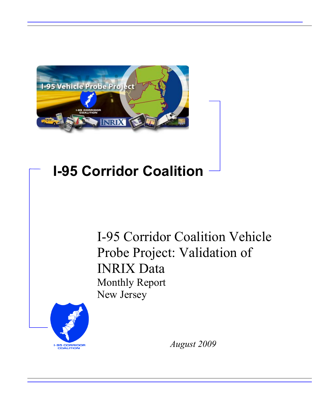

# **I-95 Corridor Coalition**

I-95 Corridor Coalition Vehicle Probe Project: Validation of INRIX Data Monthly Report New Jersey



*August 2009*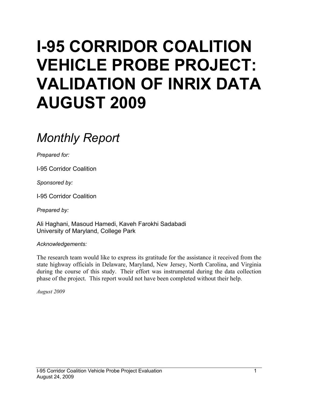# **I-95 CORRIDOR COALITION VEHICLE PROBE PROJECT: VALIDATION OF INRIX DATA AUGUST 2009**

# *Monthly Report*

*Prepared for:* 

I-95 Corridor Coalition

*Sponsored by:* 

I-95 Corridor Coalition

*Prepared by:* 

Ali Haghani, Masoud Hamedi, Kaveh Farokhi Sadabadi University of Maryland, College Park

*Acknowledgements:* 

The research team would like to express its gratitude for the assistance it received from the state highway officials in Delaware, Maryland, New Jersey, North Carolina, and Virginia during the course of this study. Their effort was instrumental during the data collection phase of the project. This report would not have been completed without their help.

*August 2009*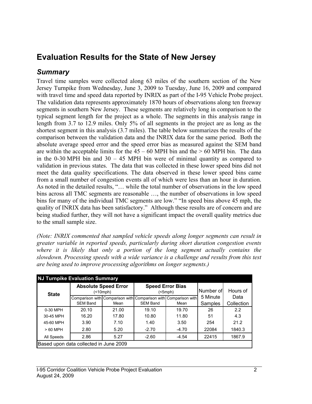## **Evaluation Results for the State of New Jersey**

### *Summary*

Travel time samples were collected along 63 miles of the southern section of the New Jersey Turnpike from Wednesday, June 3, 2009 to Tuesday, June 16, 2009 and compared with travel time and speed data reported by INRIX as part of the I-95 Vehicle Probe project. The validation data represents approximately 1870 hours of observations along ten freeway segments in southern New Jersey. These segments are relatively long in comparison to the typical segment length for the project as a whole. The segments in this analysis range in length from 3.7 to 12.9 miles. Only 5% of all segments in the project are as long as the shortest segment in this analysis (3.7 miles). The table below summarizes the results of the comparison between the validation data and the INRIX data for the same period. Both the absolute average speed error and the speed error bias as measured against the SEM band are within the acceptable limits for the  $45 - 60$  MPH bin and the  $> 60$  MPH bin. The data in the 0-30 MPH bin and 30 – 45 MPH bin were of minimal quantity as compared to validation in previous states. The data that was collected in these lower speed bins did not meet the data quality specifications. The data observed in these lower speed bins came from a small number of congestion events all of which were less than an hour in duration. As noted in the detailed results, "… while the total number of observations in the low speed bins across all TMC segments are reasonable …, the number of observations in low speed bins for many of the individual TMC segments are low." "In speed bins above 45 mph, the quality of INRIX data has been satisfactory." Although these results are of concern and are being studied further, they will not have a significant impact the overall quality metrics due to the small sample size.

*(Note: INRIX commented that sampled vehicle speeds along longer segments can result in greater variable in reported speeds, particularly during short duration congestion events where it is likely that only a portion of the long segment actually contains the slowdown. Processing speeds with a wide variance is a challenge and results from this test are being used to improve processing algorithms on longer segments.)*

| <b>NJ Turnpike Evaluation Summary</b> |                                        |                                  |                                                                 |                              |           |            |  |  |  |
|---------------------------------------|----------------------------------------|----------------------------------|-----------------------------------------------------------------|------------------------------|-----------|------------|--|--|--|
| <b>State</b>                          |                                        | <b>Absolute Speed Error</b><br>( |                                                                 | <b>Speed Error Bias</b><br>( | Number of | Hours of   |  |  |  |
|                                       |                                        |                                  | Comparison with Comparison with Comparison with Comparison with |                              | 5 Minute  | Data       |  |  |  |
|                                       | <b>SEM Band</b>                        | Mean                             | <b>SEM Band</b>                                                 | Mean                         | Samples   | Collection |  |  |  |
| 0-30 MPH                              | 20.10                                  | 21.00                            | 19.10                                                           | 19.70                        | 26        | 2.2        |  |  |  |
| 30-45 MPH                             | 16.20                                  | 17.80                            | 10.80                                                           | 11.80                        | 51        | 4.3        |  |  |  |
| 45-60 MPH                             | 3.90                                   | 7.10                             | 1.40                                                            | 3.50                         | 254       | 21.2       |  |  |  |
| $>60$ MPH                             | 2.80                                   | 5.20                             | $-2.70$                                                         | $-4.70$                      | 22084     | 1840.3     |  |  |  |
| All Speeds                            | 2.86<br>5.27                           |                                  | $-2.60$                                                         | $-4.54$                      | 22415     | 1867.9     |  |  |  |
|                                       | Based upon data collected in June 2009 |                                  |                                                                 |                              |           |            |  |  |  |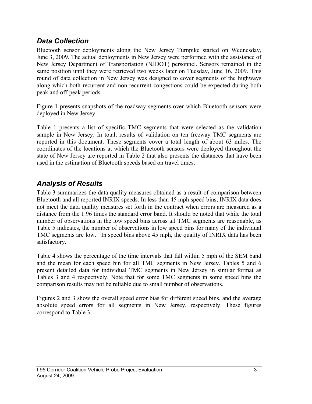#### *Data Collection*

Bluetooth sensor deployments along the New Jersey Turnpike started on Wednesday, June 3, 2009. The actual deployments in New Jersey were performed with the assistance of New Jersey Department of Transportation (NJDOT) personnel. Sensors remained in the same position until they were retrieved two weeks later on Tuesday, June 16, 2009. This round of data collection in New Jersey was designed to cover segments of the highways along which both recurrent and non-recurrent congestions could be expected during both peak and off-peak periods.

Figure 1 presents snapshots of the roadway segments over which Bluetooth sensors were deployed in New Jersey.

Table 1 presents a list of specific TMC segments that were selected as the validation sample in New Jersey. In total, results of validation on ten freeway TMC segments are reported in this document. These segments cover a total length of about 63 miles. The coordinates of the locations at which the Bluetooth sensors were deployed throughout the state of New Jersey are reported in Table 2 that also presents the distances that have been used in the estimation of Bluetooth speeds based on travel times.

### *Analysis of Results*

Table 3 summarizes the data quality measures obtained as a result of comparison between Bluetooth and all reported INRIX speeds. In less than 45 mph speed bins, INRIX data does not meet the data quality measures set forth in the contract when errors are measured as a distance from the 1.96 times the standard error band. It should be noted that while the total number of observations in the low speed bins across all TMC segments are reasonable, as Table 5 indicates, the number of observations in low speed bins for many of the individual TMC segments are low. In speed bins above 45 mph, the quality of INRIX data has been satisfactory.

Table 4 shows the percentage of the time intervals that fall within 5 mph of the SEM band and the mean for each speed bin for all TMC segments in New Jersey. Tables 5 and 6 present detailed data for individual TMC segments in New Jersey in similar format as Tables 3 and 4 respectively. Note that for some TMC segments in some speed bins the comparison results may not be reliable due to small number of observations.

Figures 2 and 3 show the overall speed error bias for different speed bins, and the average absolute speed errors for all segments in New Jersey, respectively. These figures correspond to Table 3.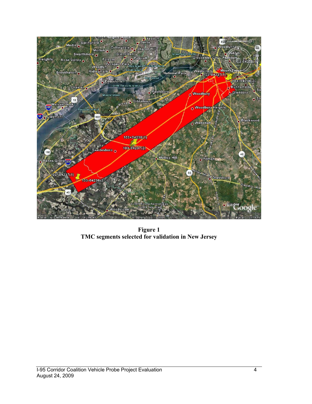

**Figure 1 TMC segments selected for validation in New Jersey**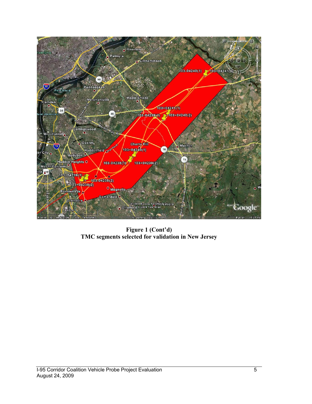

**Figure 1 (Cont'd) TMC segments selected for validation in New Jersey**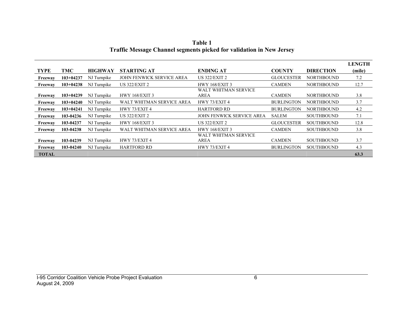| Table 1                                                                     |
|-----------------------------------------------------------------------------|
| <b>Traffic Message Channel segments picked for validation in New Jersey</b> |

|              |             |                |                                  |                                     |                   |                   | <b>LENGTH</b> |
|--------------|-------------|----------------|----------------------------------|-------------------------------------|-------------------|-------------------|---------------|
| <b>TYPE</b>  | TMC         | <b>HIGHWAY</b> | <b>STARTING AT</b>               | <b>ENDING AT</b>                    | <b>COUNTY</b>     | <b>DIRECTION</b>  | (mile)        |
| Freeway      | $103+04237$ | NJ Turnpike    | <b>JOHN FENWICK SERVICE AREA</b> | <b>US 322/EXIT 2</b>                | <b>GLOUCESTER</b> | <b>NORTHBOUND</b> | 7.2           |
| Freeway      | $103+04238$ | NJ Turnpike    | <b>US 322/EXIT 2</b>             | <b>HWY 168/EXIT 3</b>               | <b>CAMDEN</b>     | <b>NORTHBOUND</b> | 12.7          |
| Freeway      | $103+04239$ | NJ Turnpike    | <b>HWY 168/EXIT 3</b>            | WALT WHITMAN SERVICE<br><b>AREA</b> | <b>CAMDEN</b>     | <b>NORTHBOUND</b> | 3.8           |
| Freeway      | $103+04240$ | NJ Turnpike    | WALT WHITMAN SERVICE AREA        | HWY 73/EXIT 4                       | <b>BURLINGTON</b> | <b>NORTHBOUND</b> | 3.7           |
| Freeway      | $103+04241$ | NJ Turnpike    | HWY 73/EXIT 4                    | <b>HARTFORD RD</b>                  | <b>BURLINGTON</b> | <b>NORTHBOUND</b> | 4.2           |
| Freeway      | 103-04236   | NJ Turnpike    | <b>US 322/EXIT 2</b>             | <b>JOHN FENWICK SERVICE AREA</b>    | <b>SALEM</b>      | <b>SOUTHBOUND</b> | 7.1           |
| Freeway      | 103-04237   | NJ Turnpike    | <b>HWY 168/EXIT 3</b>            | <b>US 322/EXIT 2</b>                | <b>GLOUCESTER</b> | <b>SOUTHBOUND</b> | 12.8          |
| Freeway      | 103-04238   | NJ Turnpike    | WALT WHITMAN SERVICE AREA        | <b>HWY 168/EXIT 3</b>               | <b>CAMDEN</b>     | <b>SOUTHBOUND</b> | 3.8           |
| Freeway      | 103-04239   | NJ Turnpike    | HWY 73/EXIT 4                    | WALT WHITMAN SERVICE<br>AREA        | <b>CAMDEN</b>     | <b>SOUTHBOUND</b> | 3.7           |
| Freeway      | 103-04240   | NJ Turnpike    | <b>HARTFORD RD</b>               | HWY 73/EXIT 4                       | <b>BURLINGTON</b> | <b>SOUTHBOUND</b> | 4.3           |
| <b>TOTAL</b> |             |                |                                  |                                     |                   |                   | 63.3          |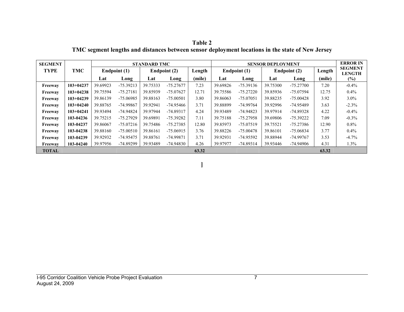**Table 2 TMC segment lengths and distances between sensor deployment locations in the state of New Jersey** 

| <b>SEGMENT</b> |             |          | <b>STANDARD TMC</b> |          |              |        |          | <b>SENSOR DEPLOYMENT</b> |          |              |        |                                 |
|----------------|-------------|----------|---------------------|----------|--------------|--------|----------|--------------------------|----------|--------------|--------|---------------------------------|
| <b>TYPE</b>    | <b>TMC</b>  |          | Endpoint (1)        |          | Endpoint (2) | Length |          | Endpoint (1)             |          | Endpoint (2) | Length | <b>SEGMENT</b><br><b>LENGTH</b> |
|                |             | Lat      | Long                | Lat      | Long         | (mile) | Lat      | Long                     | Lat      | Long         | (mile) | $(\%)$                          |
| Freeway        | $103+04237$ | 39.69923 | $-75.39213$         | 39.75333 | $-75.27677$  | 7.23   | 39.69826 | $-75.39136$              | 39.75300 | $-75.27700$  | 7.20   | $-0.4%$                         |
| Freeway        | $103+04238$ | 39.75594 | $-75.27181$         | 39.85939 | $-75.07627$  | 12.71  | 39.75586 | $-75.27220$              | 39.85936 | -75.07594    | 12.75  | $0.4\%$                         |
| Freeway        | $103+04239$ | 39.86139 | $-75.06985$         | 39.88163 | $-75.00501$  | 3.80   | 39.86063 | $-75.07051$              | 39.88235 | $-75.00428$  | 3.92   | $3.0\%$                         |
| Freeway        | $103+04240$ | 39.88765 | -74.99867           | 39.92941 | -74.95466    | 3.71   | 39.88899 | $-74.99764$              | 39.92996 | -74.95489    | 3.63   | $-2.3\%$                        |
| Freeway        | $103+04241$ | 39.93494 | $-74.94824$         | 39.97944 | $-74.89317$  | 4.24   | 39.93489 | $-74.94823$              | 39.97914 | -74.89328    | 4.22   | $-0.4\%$                        |
| Freeway        | 103-04236   | 39.75215 | -75.27929           | 39.69891 | $-75.39282$  | 7.11   | 39.75188 | $-75.27958$              | 39.69806 | -75.39222    | 7.09   | $-0.3\%$                        |
| Freeway        | 103-04237   | 39.86067 | $-75.07216$         | 39.75486 | $-75.27385$  | 12.80  | 39.85973 | $-75.07519$              | 39.75521 | $-75.27386$  | 12.90  | $0.8\%$                         |
| Freeway        | 103-04238   | 39.88160 | $-75.00510$         | 39.86161 | $-75.06915$  | 3.76   | 39.88226 | $-75.00478$              | 39.86101 | $-75.06834$  | 3.77   | $0.4\%$                         |
| Freeway        | 103-04239   | 39.92932 | -74.95475           | 39.88761 | -74.99871    | 3.71   | 39.92931 | -74.95592                | 39.88944 | -74.99767    | 3.53   | $-4.7\%$                        |
| Freeway        | 103-04240   | 39.97956 | -74.89299           | 39.93489 | $-74.94830$  | 4.26   | 39.97977 | $-74.89314$              | 39.93446 | $-74.94906$  | 4.31   | 1.3%                            |
| <b>TOTAL</b>   |             |          |                     |          |              | 63.32  |          |                          |          |              | 63.32  |                                 |

**]**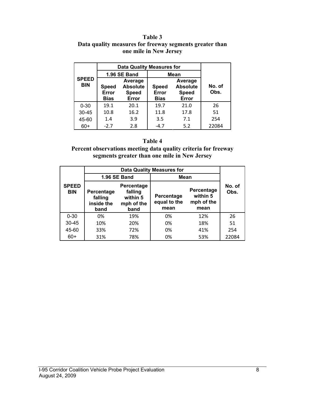#### **Table 3 Data quality measures for freeway segments greater than one mile in New Jersey**

|                            | <b>Data Quality Measures for</b>                                                            |              |                                      |                                                     |                |  |
|----------------------------|---------------------------------------------------------------------------------------------|--------------|--------------------------------------|-----------------------------------------------------|----------------|--|
|                            |                                                                                             | 1.96 SE Band | Mean                                 |                                                     |                |  |
| <b>SPEED</b><br><b>BIN</b> | Average<br><b>Absolute</b><br><b>Speed</b><br><b>Speed</b><br>Error<br><b>Bias</b><br>Error |              | <b>Speed</b><br>Error<br><b>Bias</b> | Average<br><b>Absolute</b><br><b>Speed</b><br>Error | No. of<br>Obs. |  |
| $0 - 30$                   | 19.1                                                                                        | 20.1         | 19.7                                 | 21.0                                                | 26             |  |
| $30 - 45$                  | 10.8                                                                                        | 16.2         | 11.8                                 | 17.8                                                | 51             |  |
| 45-60                      | 1.4                                                                                         | 3.9          | 3.5                                  | 7.1                                                 | 254            |  |
| 60+                        | $-2.7$                                                                                      | 2.8          | $-4.7$                               | 5.2                                                 | 22084          |  |

#### **Table 4**

**Percent observations meeting data quality criteria for freeway segments greater than one mile in New Jersey** 

|                            |                                                                                                        | 1.96 SE Band | Mean                               |                                              |                |  |
|----------------------------|--------------------------------------------------------------------------------------------------------|--------------|------------------------------------|----------------------------------------------|----------------|--|
| <b>SPEED</b><br><b>BIN</b> | Percentage<br>falling<br>Percentage<br>within 5<br>falling<br>inside the<br>mph of the<br>band<br>band |              | Percentage<br>equal to the<br>mean | Percentage<br>within 5<br>mph of the<br>mean | No. of<br>Obs. |  |
| $0 - 30$                   | 0%                                                                                                     | 19%          | 0%                                 | 12%                                          | 26             |  |
| $30 - 45$                  | 10%                                                                                                    | 20%          | 0%                                 | 18%                                          | 51             |  |
| 45-60                      | 33%                                                                                                    | 72%          | 0%                                 | 41%                                          | 254            |  |
| $60+$                      | 31%                                                                                                    | 78%          | 0%                                 | 53%                                          | 22084          |  |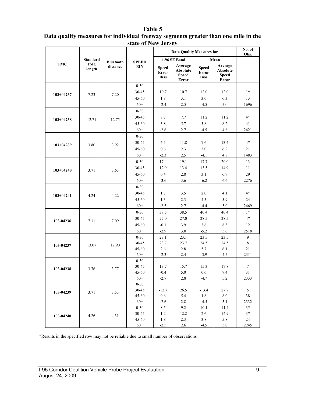#### **Table 5**

| Data quality measures for individual freeway segments greater than one mile in the |  |
|------------------------------------------------------------------------------------|--|
| state of New Jersey                                                                |  |

|               |                      |                  |                   | <b>Data Quality Measures for</b>     | No. of<br>Obs.                               |                                      |                                                     |      |
|---------------|----------------------|------------------|-------------------|--------------------------------------|----------------------------------------------|--------------------------------------|-----------------------------------------------------|------|
|               | <b>Standard</b>      | <b>Bluetooth</b> | <b>SPEED</b>      |                                      | 1.96 SE Band                                 |                                      | Mean                                                |      |
| <b>TMC</b>    | <b>TMC</b><br>length | distance         | <b>BIN</b>        | <b>Speed</b><br>Error<br><b>Bias</b> | Average<br>Absolute<br><b>Speed</b><br>Error | <b>Speed</b><br>Error<br><b>Bias</b> | Average<br>Absolute<br><b>Speed</b><br><b>Error</b> |      |
|               |                      |                  | $0 - 30$          |                                      |                                              |                                      |                                                     |      |
|               | 7.23                 | 7.20             | 30-45             | 10.7                                 | 10.7                                         | 12.0                                 | 12.0                                                | $1*$ |
| 103+04237     |                      |                  | $45 - 60$         | 1.8                                  | 3.1                                          | 3.6                                  | 6.3                                                 | 13   |
|               |                      |                  | $60+$             | $-2.4$                               | 2.5                                          | $-4.5$                               | 5.0                                                 | 1696 |
|               |                      |                  | $0 - 30$          |                                      |                                              |                                      |                                                     |      |
| $103 + 04238$ | 12.71                | 12.75            | 30-45             | 7.7                                  | 7.7                                          | 11.2                                 | 11.2                                                | $4*$ |
|               |                      |                  | $45 - 60$         | 3.8                                  | 5.7                                          | 5.8                                  | 8.2                                                 | 41   |
|               |                      |                  | $60+$             | $-2.6$                               | 2.7                                          | $-4.5$                               | 4.8                                                 | 2421 |
|               |                      |                  | $0 - 30$          |                                      |                                              |                                      |                                                     |      |
| 103+04239     | 3.80                 | 3.92             | 30-45             | 6.5                                  | 11.8                                         | 7.6                                  | 13.4                                                | $4*$ |
|               |                      |                  | 45-60             | 0.6                                  | 2.3                                          | 3.0                                  | 6.2                                                 | 21   |
|               |                      |                  | $60+$             | $-2.3$                               | 2.5                                          | $-4.1$                               | 4.8                                                 | 1483 |
|               |                      |                  | $0 - 30$          | 17.4                                 | 19.1                                         | 17.7                                 | 20.0                                                | 13   |
| $103 + 04240$ | 3.71                 | 3.63             | 30-45             | 12.9                                 | 13.4                                         | 13.5                                 | 14.9                                                | 11   |
|               |                      |                  | $45 - 60$         | 0.4                                  | 2.8                                          | 3.1                                  | 6.9                                                 | 29   |
|               |                      |                  | $60+$             | $-3.6$                               | 3.6                                          | $-6.2$                               | 6.6                                                 | 2276 |
|               |                      |                  | $0 - 30$          |                                      |                                              |                                      |                                                     |      |
| $103 + 04241$ | 4.24                 | 4.22             | 30-45             | 1.7                                  | 3.5                                          | 2.0                                  | 4.1                                                 | $4*$ |
|               |                      |                  | 45-60             | 1.3                                  | 2.3                                          | 4.5                                  | 5.9                                                 | 24   |
|               |                      |                  | $60+$             | $-2.5$                               | 2.7                                          | $-4.4$                               | 5.0                                                 | 2469 |
|               |                      |                  | $0 - 30$          | 38.5                                 | 38.5                                         | 40.4                                 | 40.4                                                | $1*$ |
| 103-04236     | 7.11                 | 7.09             | 30-45             | 27.0                                 | 27.0                                         | 28.5                                 | 28.5                                                | $4*$ |
|               |                      |                  | $45 - 60$         | $-0.1$                               | 3.9                                          | 3.6                                  | 8.3                                                 | 12   |
|               |                      |                  | $60+$             | $-2.9$                               | 3.0                                          | $-5.2$                               | 5.6                                                 | 2518 |
|               |                      |                  | $0 - 30$          | 23.1                                 | 23.1                                         | 23.5                                 | 23.5                                                | 9    |
| 103-04237     | 13.07                | 12.90            | 30-45             | 23.7                                 | 23.7                                         | 24.5                                 | 24.5                                                | 8    |
|               |                      |                  | 45-60             | 2.6                                  | 2.8                                          | 5.7                                  | 6.1                                                 | 21   |
|               |                      |                  | $60+$             | $-2.3$                               | 2.4                                          | $-3.9$                               | 4.5                                                 | 2311 |
|               |                      |                  | $0 - 30$<br>30-45 | 13.7                                 | 15.7                                         | 15.3                                 | 17.8                                                | 7    |
| 103-04238     | 3.76                 | 3.77             | $45 - 60$         | $-0.4$                               | 5.0                                          | 0.6                                  | 7.4                                                 | 31   |
|               |                      |                  | $60+$             | $-2.7$                               | 2.8                                          | $-4.7$                               | 5.2                                                 | 2333 |
|               |                      |                  | $0 - 30$          |                                      |                                              |                                      |                                                     |      |
| 103-04239     | 3.71                 | 3.53             | 30-45             | $-12.7$                              | 26.5                                         | $-13.4$                              | 27.7                                                | 5    |
|               |                      |                  | $45 - 60$         | $0.6\,$                              | 5.4                                          | 1.8                                  | 8.0                                                 | 38   |
|               |                      |                  | $60+$             | $-2.6$                               | 2.8                                          | $-4.5$                               | 5.1                                                 | 2332 |
|               |                      |                  | $0 - 30$          | 8.5                                  | 9.2                                          | 10.1                                 | 11.4                                                | $3*$ |
| 103-04240     | 4.26                 | 4.31             | 30-45             | 1.2                                  | 12.2                                         | 2.6                                  | 14.9                                                | $3*$ |
|               |                      |                  | 45-60             | 1.8                                  | 2.3                                          | 3.8                                  | 5.8                                                 | 24   |
|               |                      |                  | $60+$             | $-2.5$                               | 2.6                                          | $-4.5$                               | 5.0                                                 | 2245 |

\*Results in the specified row may not be reliable due to small number of observations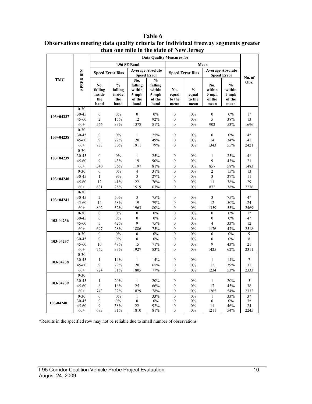|               |                   |                                         | <b>Data Quality Measures for</b>                  |                                                     |                                                               |                                |                                          |                                          |                                                    |                |
|---------------|-------------------|-----------------------------------------|---------------------------------------------------|-----------------------------------------------------|---------------------------------------------------------------|--------------------------------|------------------------------------------|------------------------------------------|----------------------------------------------------|----------------|
|               |                   |                                         |                                                   | 1.96 SE Band                                        |                                                               |                                |                                          |                                          |                                                    |                |
|               |                   |                                         | <b>Speed Error Bias</b>                           |                                                     | <b>Average Absolute</b><br><b>Speed Error</b>                 |                                | <b>Speed Error Bias</b>                  | Mean                                     | <b>Average Absolute</b><br><b>Speed Error</b>      |                |
| TMC           | <b>SPEED BIN</b>  | No.<br>falling<br>inside<br>the<br>band | $\frac{0}{0}$<br>falling<br>inside<br>the<br>band | No.<br>falling<br>within<br>5 mph<br>of the<br>band | $\frac{0}{0}$<br>falling<br>within<br>5 mph<br>of the<br>band | No.<br>equal<br>to the<br>mean | $\frac{0}{0}$<br>equal<br>to the<br>mean | No.<br>within<br>5 mph<br>of the<br>mean | $\frac{0}{0}$<br>within<br>5 mph<br>of the<br>mean | No. of<br>Obs. |
|               | $0 - 30$          |                                         |                                                   |                                                     |                                                               |                                |                                          |                                          |                                                    |                |
| $103+04237$   | 30-45             | $\boldsymbol{0}$                        | 0%                                                | $\overline{0}$                                      | $0\%$                                                         | $\mathbf{0}$                   | $0\%$                                    | $\boldsymbol{0}$                         | $0\%$                                              | $1*$           |
|               | $45 - 60$         | $\overline{c}$                          | 15%                                               | 12                                                  | 92%                                                           | $\boldsymbol{0}$               | $0\%$                                    | 5                                        | 38%                                                | 13             |
|               | $60+$             | 566                                     | 33%                                               | 1378                                                | 81%                                                           | $\mathbf{0}$                   | $0\%$                                    | 902                                      | 53%                                                | 1696           |
|               | $0 - 30$          |                                         |                                                   |                                                     |                                                               |                                |                                          |                                          |                                                    |                |
| $103 + 04238$ | 30-45             | $\boldsymbol{0}$                        | 0%                                                | $\mathbf{1}$                                        | 25%                                                           | $\mathbf{0}$                   | $0\%$                                    | $\mathbf{0}$                             | $0\%$                                              | $4*$           |
|               | 45-60             | 9                                       | 22%                                               | 20                                                  | 49%                                                           | $\boldsymbol{0}$               | $0\%$                                    | 14                                       | 34%                                                | 41             |
|               | $60+$             | 733                                     | 30%                                               | 1911                                                | 79%                                                           | $\theta$                       | $0\%$                                    | 1343                                     | 55%                                                | 2421           |
|               | $0 - 30$          |                                         |                                                   |                                                     |                                                               |                                |                                          |                                          |                                                    | $4*$           |
| $103 + 04239$ | 30-45             | $\mathbf{0}$                            | 0%                                                | $\mathbf{1}$                                        | 25%                                                           | $\mathbf{0}$                   | 0%                                       | $\mathbf{1}$<br>$\mathbf{Q}$             | 25%                                                |                |
|               | 45-60             | 9                                       | 43%                                               | 19                                                  | $90\%$                                                        | $\boldsymbol{0}$               | $0\%$                                    |                                          | 43%                                                | 21             |
|               | $60+$<br>$0 - 30$ | 540<br>$\theta$                         | 36%<br>0%                                         | 1197<br>$\overline{\mathbf{4}}$                     | 81%<br>31%                                                    | $\theta$<br>$\theta$           | 0%<br>$0\%$                              | 857<br>$\overline{2}$                    | 58%                                                | 1483<br>13     |
|               | 30-45             | $\mathbf{1}$                            | 9%                                                | 3                                                   | 27%                                                           | $\mathbf{0}$                   | 0%                                       | 3                                        | 15%                                                |                |
| $103 + 04240$ | $45 - 60$         | 12                                      | 41%                                               | 22                                                  |                                                               | $\mathbf{0}$                   | 0%                                       | 11                                       | 27%                                                | 11<br>29       |
|               | $60+$             | 631                                     | 28%                                               | 1519                                                | 76%<br>67%                                                    | $\theta$                       | 0%                                       | 872                                      | 38%<br>38%                                         | 2276           |
|               | $0 - 30$          |                                         |                                                   |                                                     |                                                               |                                |                                          |                                          |                                                    |                |
|               | 30-45             | $\overline{c}$                          | 50%                                               | 3                                                   | 75%                                                           | $\boldsymbol{0}$               | $0\%$                                    | 3                                        | 75%                                                | $4*$           |
| $103+04241$   | $45 - 60$         | 14                                      | 58%                                               | 19                                                  | 79%                                                           | $\mathbf{0}$                   | 0%                                       | 12                                       | 50%                                                | 24             |
|               | $60+$             | 802                                     | 32%                                               | 1963                                                | 80%                                                           | $\mathbf{0}$                   | 0%                                       | 1359                                     | 55%                                                | 2469           |
|               | $0 - 30$          | $\boldsymbol{0}$                        | $0\%$                                             | $\boldsymbol{0}$                                    | $0\%$                                                         | $\mathbf{0}$                   | $0\%$                                    | $\mathbf{0}$                             | $0\%$                                              | $1*$           |
|               | 30-45             | $\boldsymbol{0}$                        | 0%                                                | $\boldsymbol{0}$                                    | $0\%$                                                         | $\mathbf{0}$                   | 0%                                       | $\mathbf{0}$                             | $0\%$                                              | $4*$           |
| 103-04236     | $45 - 60$         | 5                                       | 42%                                               | 9                                                   | 75%                                                           | $\boldsymbol{0}$               | $0\%$                                    | $\overline{4}$                           | 33%                                                | 12             |
|               | $60+$             | 697                                     | 28%                                               | 1886                                                | 75%                                                           | $\mathbf{0}$                   | 0%                                       | 1176                                     | 47%                                                | 2518           |
|               | $0 - 30$          | $\mathbf{0}$                            | 0%                                                | $\overline{0}$                                      | $0\%$                                                         | $\mathbf{0}$                   | 0%                                       | $\mathbf{0}$                             | $0\%$                                              | 9              |
|               | 30-45             | $\boldsymbol{0}$                        | $0\%$                                             | $\boldsymbol{0}$                                    | $0\%$                                                         | $\boldsymbol{0}$               | 0%                                       | $\boldsymbol{0}$                         | $0\%$                                              | 8              |
| 103-04237     | $45 - 60$         | 10                                      | 48%                                               | 15                                                  | 71%                                                           | $\boldsymbol{0}$               | $0\%$                                    | 9                                        | 43%                                                | 21             |
|               | $60+$             | 762                                     | 33%                                               | 1927                                                | 83%                                                           | $\theta$                       | 0%                                       | 1425                                     | 62%                                                | 2311           |
|               | $0 - 30$          |                                         |                                                   |                                                     |                                                               |                                |                                          |                                          |                                                    |                |
|               | 30-45             | $\mathbf{1}$                            | 14%                                               | $\mathbf{1}$                                        | 14%                                                           | $\mathbf{0}$                   | 0%                                       | $\mathbf{1}$                             | 14%                                                | $\overline{7}$ |
| 103-04238     | $45 - 60$         | 9                                       | 29%                                               | 20                                                  | 65%                                                           | $\boldsymbol{0}$               | $0\%$                                    | 12                                       | 39%                                                | 31             |
|               | $60+$             | 724                                     | 31%                                               | 1805                                                | 77%                                                           | $\theta$                       | 0%                                       | 1234                                     | 53%                                                | 2333           |
|               | $0 - 30$          |                                         |                                                   |                                                     |                                                               |                                |                                          |                                          |                                                    |                |
| 103-04239     | 30-45             | $\mathbf{1}$                            | 20%                                               | $\mathbf{1}$                                        | 20%                                                           | $\mathbf{0}$                   | 0%                                       | $\mathbf{1}$                             | 20%                                                | 5              |
|               | $45 - 60$         | 6                                       | 16%                                               | 25                                                  | 66%                                                           | $\mathbf{0}$                   | 0%                                       | 17                                       | 45%                                                | 38             |
|               | $60+$             | 743                                     | 32%                                               | 1829                                                | 78%                                                           | $\overline{0}$                 | 0%                                       | 1265                                     | 54%                                                | 2332           |
|               | $0 - 30$          | $\mathbf{0}$                            | 0%                                                | 1                                                   | 33%                                                           | $\mathbf{0}$                   | 0%                                       | 1                                        | 33%                                                | $3*$           |
| 103-04240     | 30-45             | $\mathbf{0}$                            | 0%                                                | $\boldsymbol{0}$                                    | $0\%$                                                         | $\mathbf{0}$                   | 0%                                       | $\mathbf{0}$                             | 0%                                                 | $3*$           |
|               | 45-60             | 9                                       | 38%                                               | 22                                                  | 92%                                                           | $\mathbf{0}$                   | 0%                                       | 11                                       | 46%                                                | 24             |
|               | $60+$             | 693                                     | 31%                                               | 1810                                                | 81%                                                           | $\theta$                       | $0\%$                                    | 1211                                     | 54%                                                | 2245           |

**Table 6 Observations meeting data quality criteria for individual freeway segments greater than one mile in the state of New Jersey** 

\*Results in the specified row may not be reliable due to small number of observations